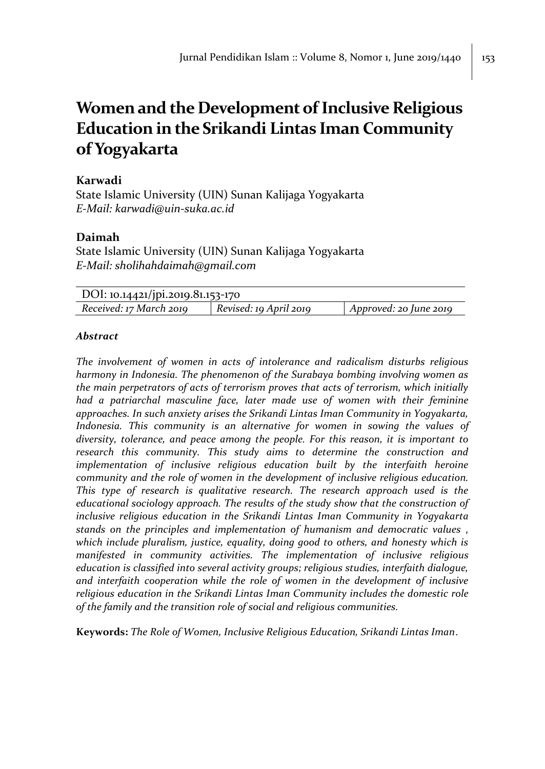# **Women and the Development of Inclusive Religious Education in the Srikandi Lintas Iman Community of Yogyakarta**

## **Karwadi**

State Islamic University (UIN) Sunan Kalijaga Yogyakarta *E-Mail: karwadi@uin-suka.ac.id*

# **Daimah**

State Islamic University (UIN) Sunan Kalijaga Yogyakarta *E-Mail: sholihahdaimah@gmail.com*

| DOI: 10.14421/jpi.2019.81.153-170 |                        |                                        |  |
|-----------------------------------|------------------------|----------------------------------------|--|
| Received: 17 March 2019           | Revised: 19 April 2019 | $\Delta$ <i>Approved: 20 June 2019</i> |  |

### *Abstract*

*The involvement of women in acts of intolerance and radicalism disturbs religious harmony in Indonesia. The phenomenon of the Surabaya bombing involving women as the main perpetrators of acts of terrorism proves that acts of terrorism, which initially had a patriarchal masculine face, later made use of women with their feminine approaches. In such anxiety arises the Srikandi Lintas Iman Community in Yogyakarta, Indonesia. This community is an alternative for women in sowing the values of diversity, tolerance, and peace among the people. For this reason, it is important to research this community. This study aims to determine the construction and implementation of inclusive religious education built by the interfaith heroine community and the role of women in the development of inclusive religious education. This type of research is qualitative research. The research approach used is the educational sociology approach. The results of the study show that the construction of inclusive religious education in the Srikandi Lintas Iman Community in Yogyakarta stands on the principles and implementation of humanism and democratic values , which include pluralism, justice, equality, doing good to others, and honesty which is manifested in community activities. The implementation of inclusive religious education is classified into several activity groups; religious studies, interfaith dialogue, and interfaith cooperation while the role of women in the development of inclusive religious education in the Srikandi Lintas Iman Community includes the domestic role of the family and the transition role of social and religious communities.*

**Keywords:** *The Role of Women, Inclusive Religious Education, Srikandi Lintas Iman*.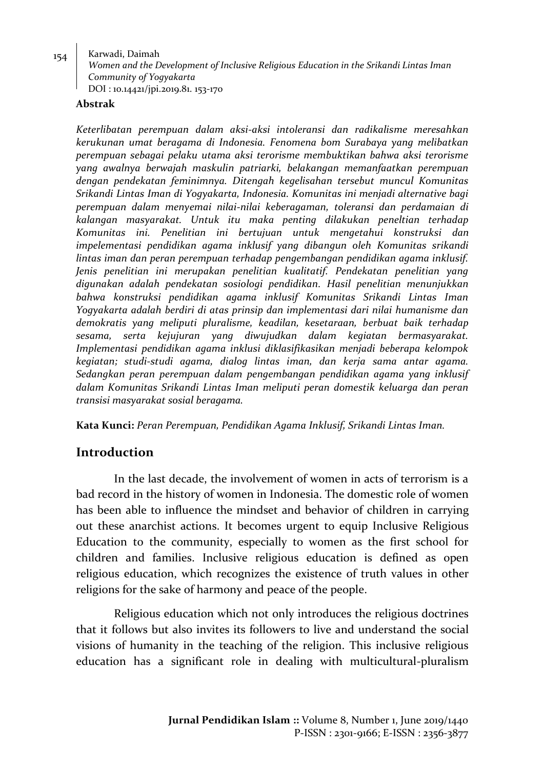#### $_{154}$  Karwadi, Daimah

*Women and the Development of Inclusive Religious Education in the Srikandi Lintas Iman Community of Yogyakarta* DOI : 10.14421/jpi.2019.81. 153-170

#### **Abstrak**

*Keterlibatan perempuan dalam aksi-aksi intoleransi dan radikalisme meresahkan kerukunan umat beragama di Indonesia. Fenomena bom Surabaya yang melibatkan perempuan sebagai pelaku utama aksi terorisme membuktikan bahwa aksi terorisme yang awalnya berwajah maskulin patriarki, belakangan memanfaatkan perempuan dengan pendekatan feminimnya. Ditengah kegelisahan tersebut muncul Komunitas Srikandi Lintas Iman di Yogyakarta, Indonesia. Komunitas ini menjadi alternative bagi perempuan dalam menyemai nilai-nilai keberagaman, toleransi dan perdamaian di kalangan masyarakat. Untuk itu maka penting dilakukan peneltian terhadap Komunitas ini. Penelitian ini bertujuan untuk mengetahui konstruksi dan impelementasi pendidikan agama inklusif yang dibangun oleh Komunitas srikandi lintas iman dan peran perempuan terhadap pengembangan pendidikan agama inklusif. Jenis penelitian ini merupakan penelitian kualitatif. Pendekatan penelitian yang digunakan adalah pendekatan sosiologi pendidikan. Hasil penelitian menunjukkan bahwa konstruksi pendidikan agama inklusif Komunitas Srikandi Lintas Iman Yogyakarta adalah berdiri di atas prinsip dan implementasi dari nilai humanisme dan demokratis yang meliputi pluralisme, keadilan, kesetaraan, berbuat baik terhadap sesama, serta kejujuran yang diwujudkan dalam kegiatan bermasyarakat. Implementasi pendidikan agama inklusi diklasifikasikan menjadi beberapa kelompok kegiatan; studi-studi agama, dialog lintas iman, dan kerja sama antar agama. Sedangkan peran perempuan dalam pengembangan pendidikan agama yang inklusif dalam Komunitas Srikandi Lintas Iman meliputi peran domestik keluarga dan peran transisi masyarakat sosial beragama.* 

**Kata Kunci:** *Peran Perempuan, Pendidikan Agama Inklusif, Srikandi Lintas Iman.*

## **Introduction**

In the last decade, the involvement of women in acts of terrorism is a bad record in the history of women in Indonesia. The domestic role of women has been able to influence the mindset and behavior of children in carrying out these anarchist actions. It becomes urgent to equip Inclusive Religious Education to the community, especially to women as the first school for children and families. Inclusive religious education is defined as open religious education, which recognizes the existence of truth values in other religions for the sake of harmony and peace of the people.

Religious education which not only introduces the religious doctrines that it follows but also invites its followers to live and understand the social visions of humanity in the teaching of the religion. This inclusive religious education has a significant role in dealing with multicultural-pluralism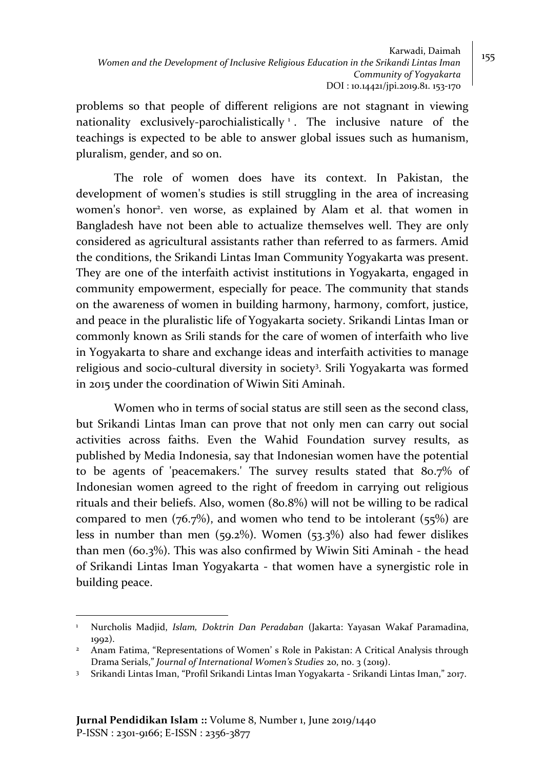problems so that people of different religions are not stagnant in viewing nationality exclusively-parochialistically <sup>1</sup>. The inclusive nature of the teachings is expected to be able to answer global issues such as humanism, pluralism, gender, and so on.

The role of women does have its context. In Pakistan, the development of women's studies is still struggling in the area of increasing women's honor<sup>2</sup>. ven worse, as explained by Alam et al. that women in Bangladesh have not been able to actualize themselves well. They are only considered as agricultural assistants rather than referred to as farmers. Amid the conditions, the Srikandi Lintas Iman Community Yogyakarta was present. They are one of the interfaith activist institutions in Yogyakarta, engaged in community empowerment, especially for peace. The community that stands on the awareness of women in building harmony, harmony, comfort, justice, and peace in the pluralistic life of Yogyakarta society. Srikandi Lintas Iman or commonly known as Srili stands for the care of women of interfaith who live in Yogyakarta to share and exchange ideas and interfaith activities to manage religious and socio-cultural diversity in society<sup>3</sup>. Srili Yogyakarta was formed in 2015 under the coordination of Wiwin Siti Aminah.

Women who in terms of social status are still seen as the second class, but Srikandi Lintas Iman can prove that not only men can carry out social activities across faiths. Even the Wahid Foundation survey results, as published by Media Indonesia, say that Indonesian women have the potential to be agents of 'peacemakers.' The survey results stated that 80.7% of Indonesian women agreed to the right of freedom in carrying out religious rituals and their beliefs. Also, women (80.8%) will not be willing to be radical compared to men  $(76.7%)$ , and women who tend to be intolerant  $(55%)$  are less in number than men (59.2%). Women (53.3%) also had fewer dislikes than men (60.3%). This was also confirmed by Wiwin Siti Aminah - the head of Srikandi Lintas Iman Yogyakarta - that women have a synergistic role in building peace.

 $\overline{a}$ <sup>1</sup> Nurcholis Madjid, *Islam, Doktrin Dan Peradaban* (Jakarta: Yayasan Wakaf Paramadina, 1992).

<sup>&</sup>lt;sup>2</sup> Anam Fatima, "Representations of Women' s Role in Pakistan: A Critical Analysis through Drama Serials," *Journal of International Women's Studies* 20, no. 3 (2019).

<sup>3</sup> Srikandi Lintas Iman, "Profil Srikandi Lintas Iman Yogyakarta - Srikandi Lintas Iman," 2017.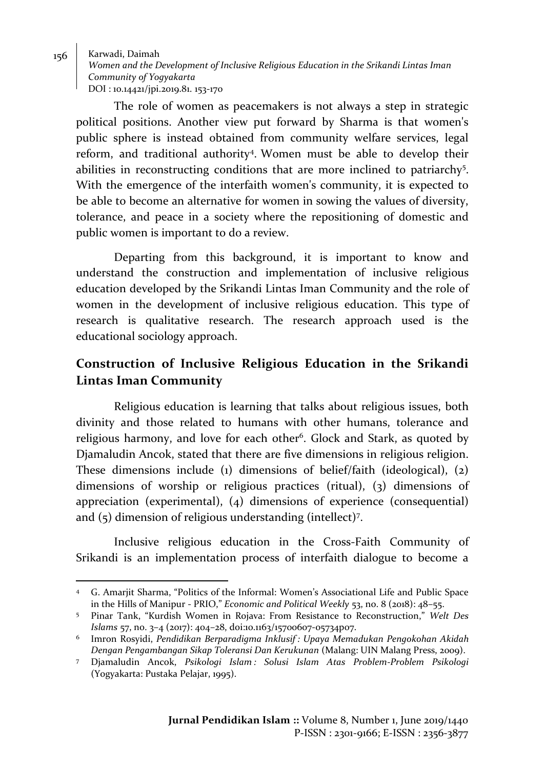$\overline{a}$ 

*Women and the Development of Inclusive Religious Education in the Srikandi Lintas Iman Community of Yogyakarta* DOI : 10.14421/jpi.2019.81. 153-170

The role of women as peacemakers is not always a step in strategic political positions. Another view put forward by Sharma is that women's public sphere is instead obtained from community welfare services, legal reform, and traditional authority<sup>4</sup> . Women must be able to develop their abilities in reconstructing conditions that are more inclined to patriarchy<sup>5</sup>. With the emergence of the interfaith women's community, it is expected to be able to become an alternative for women in sowing the values of diversity, tolerance, and peace in a society where the repositioning of domestic and public women is important to do a review.

Departing from this background, it is important to know and understand the construction and implementation of inclusive religious education developed by the Srikandi Lintas Iman Community and the role of women in the development of inclusive religious education. This type of research is qualitative research. The research approach used is the educational sociology approach.

# **Construction of Inclusive Religious Education in the Srikandi Lintas Iman Community**

Religious education is learning that talks about religious issues, both divinity and those related to humans with other humans, tolerance and religious harmony, and love for each other<sup>6</sup>. Glock and Stark, as quoted by Djamaludin Ancok, stated that there are five dimensions in religious religion. These dimensions include (1) dimensions of belief/faith (ideological), (2) dimensions of worship or religious practices (ritual), (3) dimensions of appreciation (experimental), (4) dimensions of experience (consequential) and (5) dimension of religious understanding (intellect)<sup>7</sup> .

Inclusive religious education in the Cross-Faith Community of Srikandi is an implementation process of interfaith dialogue to become a

<sup>4</sup> G. Amarjit Sharma, "Politics of the Informal: Women's Associational Life and Public Space in the Hills of Manipur - PRIO," *Economic and Political Weekly* 53, no. 8 (2018): 48–55.

<sup>5</sup> Pinar Tank, "Kurdish Women in Rojava: From Resistance to Reconstruction," *Welt Des Islams* 57, no. 3–4 (2017): 404–28, doi:10.1163/15700607-05734p07.

<sup>6</sup> Imron Rosyidi, *Pendidikan Berparadigma Inklusif : Upaya Memadukan Pengokohan Akidah Dengan Pengambangan Sikap Toleransi Dan Kerukunan* (Malang: UIN Malang Press, 2009).

<sup>7</sup> Djamaludin Ancok, *Psikologi Islam : Solusi Islam Atas Problem-Problem Psikologi* (Yogyakarta: Pustaka Pelajar, 1995).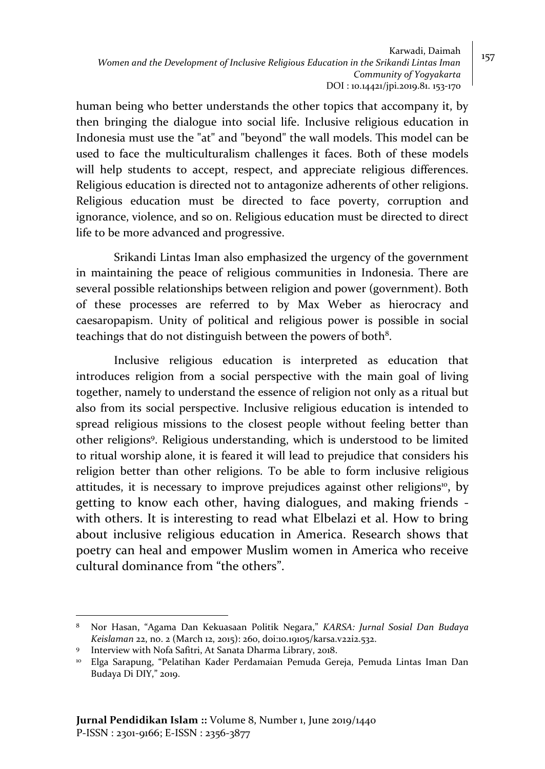Karwadi, Daimah *Women and the Development of Inclusive Religious Education in the Srikandi Lintas Iman Community of Yogyakarta* DOI : 10.14421/jpi.2019.81. 153-170

human being who better understands the other topics that accompany it, by then bringing the dialogue into social life. Inclusive religious education in Indonesia must use the "at" and "beyond" the wall models. This model can be used to face the multiculturalism challenges it faces. Both of these models will help students to accept, respect, and appreciate religious differences. Religious education is directed not to antagonize adherents of other religions. Religious education must be directed to face poverty, corruption and ignorance, violence, and so on. Religious education must be directed to direct life to be more advanced and progressive.

Srikandi Lintas Iman also emphasized the urgency of the government in maintaining the peace of religious communities in Indonesia. There are several possible relationships between religion and power (government). Both of these processes are referred to by Max Weber as hierocracy and caesaropapism. Unity of political and religious power is possible in social teachings that do not distinguish between the powers of both $^8$ .

Inclusive religious education is interpreted as education that introduces religion from a social perspective with the main goal of living together, namely to understand the essence of religion not only as a ritual but also from its social perspective. Inclusive religious education is intended to spread religious missions to the closest people without feeling better than other religions<sup>9</sup> . Religious understanding, which is understood to be limited to ritual worship alone, it is feared it will lead to prejudice that considers his religion better than other religions. To be able to form inclusive religious attitudes, it is necessary to improve prejudices against other religions<sup>10</sup>, by getting to know each other, having dialogues, and making friends with others. It is interesting to read what Elbelazi et al. How to bring about inclusive religious education in America. Research shows that poetry can heal and empower Muslim women in America who receive cultural dominance from "the others".

<sup>8</sup> Nor Hasan, "Agama Dan Kekuasaan Politik Negara," *KARSA: Jurnal Sosial Dan Budaya Keislaman* 22, no. 2 (March 12, 2015): 260, doi:10.19105/karsa.v22i2.532.

<sup>9</sup> Interview with Nofa Safitri, At Sanata Dharma Library, 2018.

<sup>10</sup> Elga Sarapung, "Pelatihan Kader Perdamaian Pemuda Gereja, Pemuda Lintas Iman Dan Budaya Di DIY," 2019.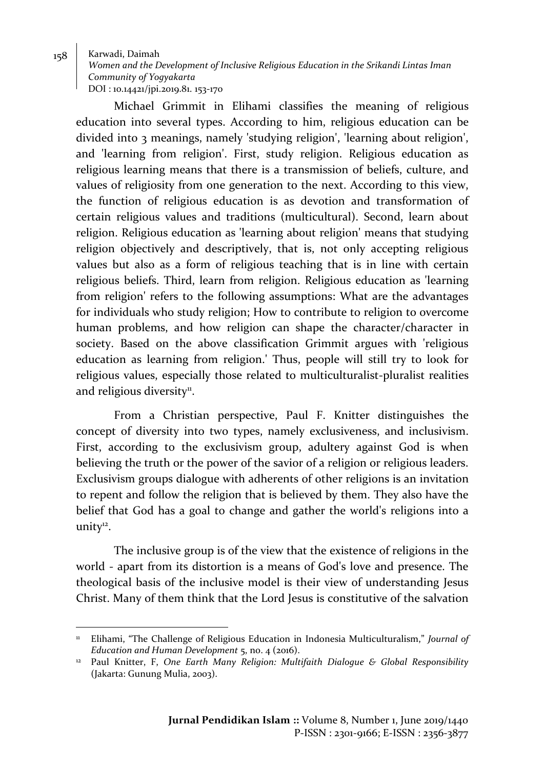$\overline{a}$ 

*Women and the Development of Inclusive Religious Education in the Srikandi Lintas Iman Community of Yogyakarta* DOI : 10.14421/jpi.2019.81. 153-170

Michael Grimmit in Elihami classifies the meaning of religious education into several types. According to him, religious education can be divided into 3 meanings, namely 'studying religion', 'learning about religion', and 'learning from religion'. First, study religion. Religious education as religious learning means that there is a transmission of beliefs, culture, and values of religiosity from one generation to the next. According to this view, the function of religious education is as devotion and transformation of certain religious values and traditions (multicultural). Second, learn about religion. Religious education as 'learning about religion' means that studying religion objectively and descriptively, that is, not only accepting religious values but also as a form of religious teaching that is in line with certain religious beliefs. Third, learn from religion. Religious education as 'learning from religion' refers to the following assumptions: What are the advantages for individuals who study religion; How to contribute to religion to overcome human problems, and how religion can shape the character/character in society. Based on the above classification Grimmit argues with 'religious education as learning from religion.' Thus, people will still try to look for religious values, especially those related to multiculturalist-pluralist realities and religious diversity<sup>11</sup>.

From a Christian perspective, Paul F. Knitter distinguishes the concept of diversity into two types, namely exclusiveness, and inclusivism. First, according to the exclusivism group, adultery against God is when believing the truth or the power of the savior of a religion or religious leaders. Exclusivism groups dialogue with adherents of other religions is an invitation to repent and follow the religion that is believed by them. They also have the belief that God has a goal to change and gather the world's religions into a unity<sup>12</sup>.

The inclusive group is of the view that the existence of religions in the world - apart from its distortion is a means of God's love and presence. The theological basis of the inclusive model is their view of understanding Jesus Christ. Many of them think that the Lord Jesus is constitutive of the salvation

<sup>&</sup>lt;sup>11</sup> Elihami, "The Challenge of Religious Education in Indonesia Multiculturalism," *Journal of Education and Human Development* 5, no. 4 (2016).

<sup>12</sup> Paul Knitter, F, *One Earth Many Religion: Multifaith Dialogue & Global Responsibility* (Jakarta: Gunung Mulia, 2003).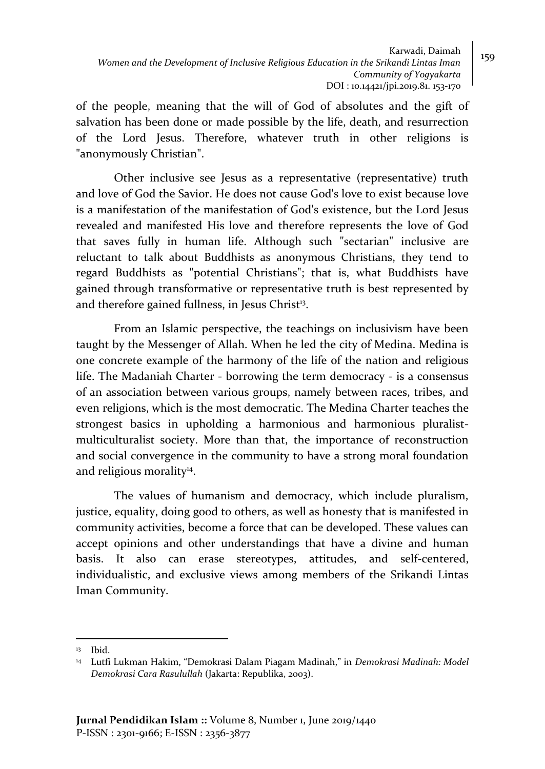of the people, meaning that the will of God of absolutes and the gift of salvation has been done or made possible by the life, death, and resurrection of the Lord Jesus. Therefore, whatever truth in other religions is "anonymously Christian".

Other inclusive see Jesus as a representative (representative) truth and love of God the Savior. He does not cause God's love to exist because love is a manifestation of the manifestation of God's existence, but the Lord Jesus revealed and manifested His love and therefore represents the love of God that saves fully in human life. Although such "sectarian" inclusive are reluctant to talk about Buddhists as anonymous Christians, they tend to regard Buddhists as "potential Christians"; that is, what Buddhists have gained through transformative or representative truth is best represented by and therefore gained fullness, in Jesus Christ<sup>13</sup>.

From an Islamic perspective, the teachings on inclusivism have been taught by the Messenger of Allah. When he led the city of Medina. Medina is one concrete example of the harmony of the life of the nation and religious life. The Madaniah Charter - borrowing the term democracy - is a consensus of an association between various groups, namely between races, tribes, and even religions, which is the most democratic. The Medina Charter teaches the strongest basics in upholding a harmonious and harmonious pluralistmulticulturalist society. More than that, the importance of reconstruction and social convergence in the community to have a strong moral foundation and religious morality<sup>14</sup>.

The values of humanism and democracy, which include pluralism, justice, equality, doing good to others, as well as honesty that is manifested in community activities, become a force that can be developed. These values can accept opinions and other understandings that have a divine and human basis. It also can erase stereotypes, attitudes, and self-centered, individualistic, and exclusive views among members of the Srikandi Lintas Iman Community.

<sup>13</sup> Ibid.

<sup>14</sup> Lutfi Lukman Hakim, "Demokrasi Dalam Piagam Madinah," in *Demokrasi Madinah: Model Demokrasi Cara Rasulullah* (Jakarta: Republika, 2003).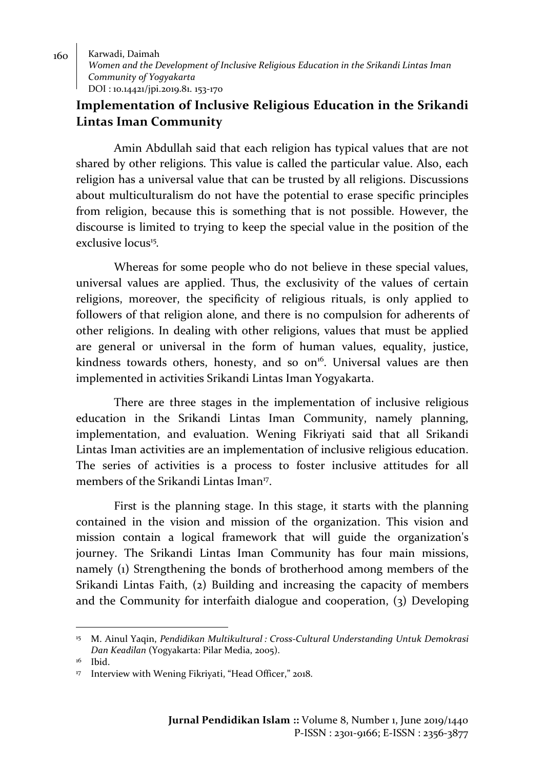160 | Karwadi, Daimah *Women and the Development of Inclusive Religious Education in the Srikandi Lintas Iman Community of Yogyakarta* DOI : 10.14421/jpi.2019.81. 153-170

# **Implementation of Inclusive Religious Education in the Srikandi Lintas Iman Community**

Amin Abdullah said that each religion has typical values that are not shared by other religions. This value is called the particular value. Also, each religion has a universal value that can be trusted by all religions. Discussions about multiculturalism do not have the potential to erase specific principles from religion, because this is something that is not possible. However, the discourse is limited to trying to keep the special value in the position of the exclusive locus<sup>15</sup>.

Whereas for some people who do not believe in these special values, universal values are applied. Thus, the exclusivity of the values of certain religions, moreover, the specificity of religious rituals, is only applied to followers of that religion alone, and there is no compulsion for adherents of other religions. In dealing with other religions, values that must be applied are general or universal in the form of human values, equality, justice, kindness towards others, honesty, and so on<sup>16</sup>. Universal values are then implemented in activities Srikandi Lintas Iman Yogyakarta.

There are three stages in the implementation of inclusive religious education in the Srikandi Lintas Iman Community, namely planning, implementation, and evaluation. Wening Fikriyati said that all Srikandi Lintas Iman activities are an implementation of inclusive religious education. The series of activities is a process to foster inclusive attitudes for all members of the Srikandi Lintas Iman<sup>17</sup>.

First is the planning stage. In this stage, it starts with the planning contained in the vision and mission of the organization. This vision and mission contain a logical framework that will guide the organization's journey. The Srikandi Lintas Iman Community has four main missions, namely (1) Strengthening the bonds of brotherhood among members of the Srikandi Lintas Faith, (2) Building and increasing the capacity of members and the Community for interfaith dialogue and cooperation, (3) Developing

<sup>15</sup> M. Ainul Yaqin, *Pendidikan Multikultural : Cross-Cultural Understanding Untuk Demokrasi Dan Keadilan* (Yogyakarta: Pilar Media, 2005).

<sup>&</sup>lt;sup>16</sup> Ibid.

<sup>17</sup> Interview with Wening Fikriyati, "Head Officer," 2018.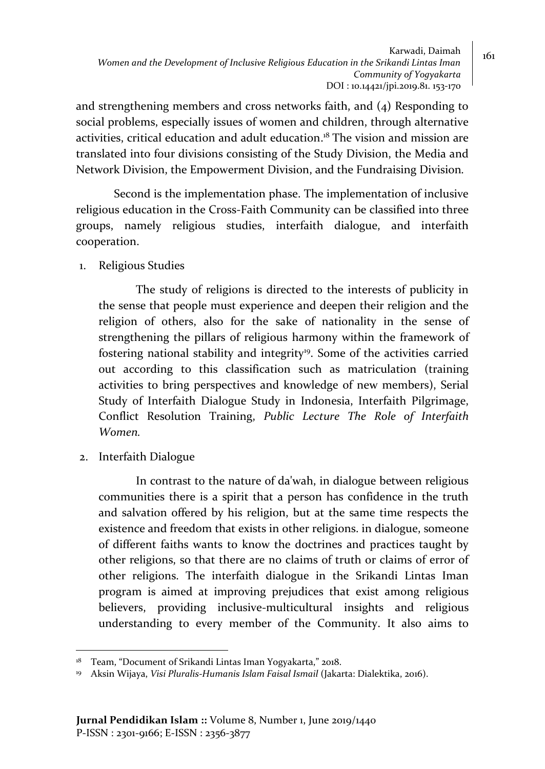and strengthening members and cross networks faith, and (4) Responding to social problems, especially issues of women and children, through alternative activities, critical education and adult education. <sup>18</sup> The vision and mission are translated into four divisions consisting of the Study Division, the Media and Network Division, the Empowerment Division, and the Fundraising Division*.*

Second is the implementation phase. The implementation of inclusive religious education in the Cross-Faith Community can be classified into three groups, namely religious studies, interfaith dialogue, and interfaith cooperation.

1. Religious Studies

The study of religions is directed to the interests of publicity in the sense that people must experience and deepen their religion and the religion of others, also for the sake of nationality in the sense of strengthening the pillars of religious harmony within the framework of fostering national stability and integrity<sup>19</sup>. Some of the activities carried out according to this classification such as matriculation (training activities to bring perspectives and knowledge of new members), Serial Study of Interfaith Dialogue Study in Indonesia, Interfaith Pilgrimage, Conflict Resolution Training, *Public Lecture The Role of Interfaith Women.*

2. Interfaith Dialogue

 $\overline{a}$ 

In contrast to the nature of da'wah, in dialogue between religious communities there is a spirit that a person has confidence in the truth and salvation offered by his religion, but at the same time respects the existence and freedom that exists in other religions. in dialogue, someone of different faiths wants to know the doctrines and practices taught by other religions, so that there are no claims of truth or claims of error of other religions. The interfaith dialogue in the Srikandi Lintas Iman program is aimed at improving prejudices that exist among religious believers, providing inclusive-multicultural insights and religious understanding to every member of the Community. It also aims to

<sup>18</sup> Team, "Document of Srikandi Lintas Iman Yogyakarta," 2018.

<sup>19</sup> Aksin Wijaya, *Visi Pluralis-Humanis Islam Faisal Ismail* (Jakarta: Dialektika, 2016).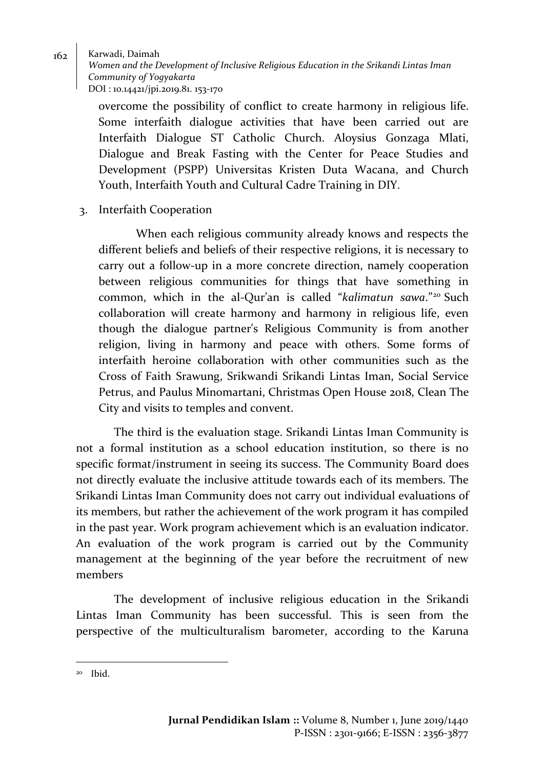*Women and the Development of Inclusive Religious Education in the Srikandi Lintas Iman Community of Yogyakarta* DOI : 10.14421/jpi.2019.81. 153-170

overcome the possibility of conflict to create harmony in religious life. Some interfaith dialogue activities that have been carried out are Interfaith Dialogue ST Catholic Church. Aloysius Gonzaga Mlati, Dialogue and Break Fasting with the Center for Peace Studies and Development (PSPP) Universitas Kristen Duta Wacana, and Church Youth, Interfaith Youth and Cultural Cadre Training in DIY.

3. Interfaith Cooperation

When each religious community already knows and respects the different beliefs and beliefs of their respective religions, it is necessary to carry out a follow-up in a more concrete direction, namely cooperation between religious communities for things that have something in common, which in the al-Qur'an is called "*kalimatun sawa*."<sup>20</sup> Such collaboration will create harmony and harmony in religious life, even though the dialogue partner's Religious Community is from another religion, living in harmony and peace with others. Some forms of interfaith heroine collaboration with other communities such as the Cross of Faith Srawung, Srikwandi Srikandi Lintas Iman, Social Service Petrus, and Paulus Minomartani, Christmas Open House 2018, Clean The City and visits to temples and convent.

The third is the evaluation stage. Srikandi Lintas Iman Community is not a formal institution as a school education institution, so there is no specific format/instrument in seeing its success. The Community Board does not directly evaluate the inclusive attitude towards each of its members. The Srikandi Lintas Iman Community does not carry out individual evaluations of its members, but rather the achievement of the work program it has compiled in the past year. Work program achievement which is an evaluation indicator. An evaluation of the work program is carried out by the Community management at the beginning of the year before the recruitment of new members

The development of inclusive religious education in the Srikandi Lintas Iman Community has been successful. This is seen from the perspective of the multiculturalism barometer, according to the Karuna

<sup>20</sup> Ibid.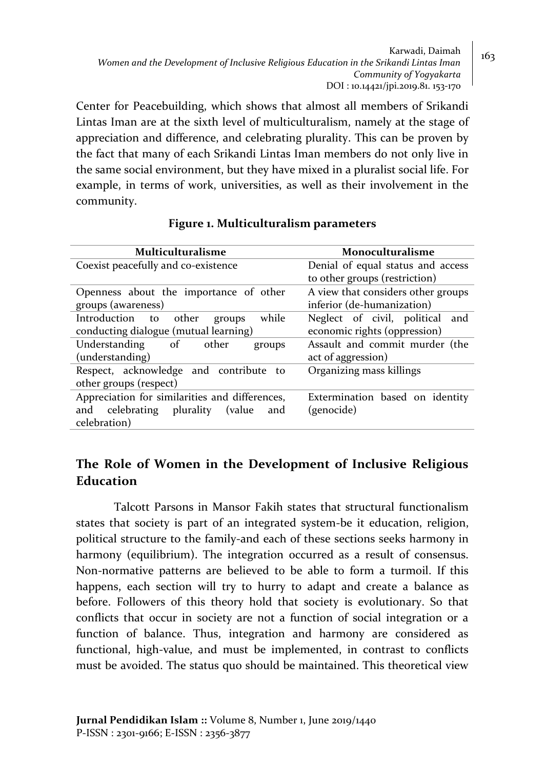Karwadi, Daimah  $\Big| 163$ *Women and the Development of Inclusive Religious Education in the Srikandi Lintas Iman Community of Yogyakarta* DOI : 10.14421/jpi.2019.81. 153-170

Center for Peacebuilding, which shows that almost all members of Srikandi Lintas Iman are at the sixth level of multiculturalism, namely at the stage of appreciation and difference, and celebrating plurality. This can be proven by the fact that many of each Srikandi Lintas Iman members do not only live in the same social environment, but they have mixed in a pluralist social life. For example, in terms of work, universities, as well as their involvement in the community.

| Multiculturalisme                              | Monoculturalisme                   |  |
|------------------------------------------------|------------------------------------|--|
| Coexist peacefully and co-existence            | Denial of equal status and access  |  |
|                                                | to other groups (restriction)      |  |
| Openness about the importance of other         | A view that considers other groups |  |
| groups (awareness)                             | inferior (de-humanization)         |  |
| Introduction to<br>while<br>other<br>groups    | Neglect of civil, political<br>and |  |
| conducting dialogue (mutual learning)          | economic rights (oppression)       |  |
| of other<br>Understanding<br>groups            | Assault and commit murder (the     |  |
| (understanding)                                | act of aggression)                 |  |
| Respect, acknowledge and contribute<br>to      | Organizing mass killings           |  |
| other groups (respect)                         |                                    |  |
| Appreciation for similarities and differences, | Extermination based on identity    |  |
| and celebrating<br>plurality<br>(value<br>and  | (genocide)                         |  |
| celebration)                                   |                                    |  |
|                                                |                                    |  |

### **Figure 1. Multiculturalism parameters**

# **The Role of Women in the Development of Inclusive Religious Education**

Talcott Parsons in Mansor Fakih states that structural functionalism states that society is part of an integrated system-be it education, religion, political structure to the family-and each of these sections seeks harmony in harmony (equilibrium). The integration occurred as a result of consensus. Non-normative patterns are believed to be able to form a turmoil. If this happens, each section will try to hurry to adapt and create a balance as before. Followers of this theory hold that society is evolutionary. So that conflicts that occur in society are not a function of social integration or a function of balance. Thus, integration and harmony are considered as functional, high-value, and must be implemented, in contrast to conflicts must be avoided. The status quo should be maintained. This theoretical view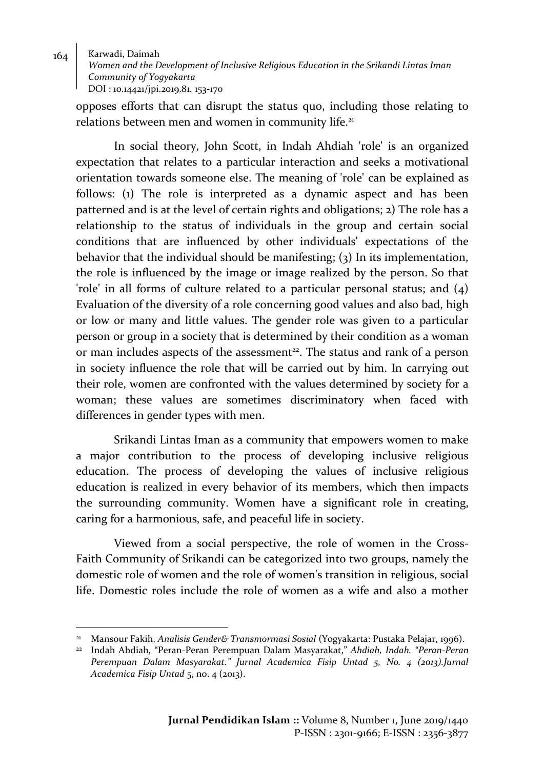$164$  Karwadi, Daimah *Women and the Development of Inclusive Religious Education in the Srikandi Lintas Iman Community of Yogyakarta* DOI : 10.14421/jpi.2019.81. 153-170

opposes efforts that can disrupt the status quo, including those relating to relations between men and women in community life.<sup>21</sup>

In social theory, John Scott, in Indah Ahdiah 'role' is an organized expectation that relates to a particular interaction and seeks a motivational orientation towards someone else. The meaning of 'role' can be explained as follows: (1) The role is interpreted as a dynamic aspect and has been patterned and is at the level of certain rights and obligations; 2) The role has a relationship to the status of individuals in the group and certain social conditions that are influenced by other individuals' expectations of the behavior that the individual should be manifesting; (3) In its implementation, the role is influenced by the image or image realized by the person. So that 'role' in all forms of culture related to a particular personal status; and (4) Evaluation of the diversity of a role concerning good values and also bad, high or low or many and little values. The gender role was given to a particular person or group in a society that is determined by their condition as a woman or man includes aspects of the assessment<sup>22</sup>. The status and rank of a person in society influence the role that will be carried out by him. In carrying out their role, women are confronted with the values determined by society for a woman; these values are sometimes discriminatory when faced with differences in gender types with men.

Srikandi Lintas Iman as a community that empowers women to make a major contribution to the process of developing inclusive religious education. The process of developing the values of inclusive religious education is realized in every behavior of its members, which then impacts the surrounding community. Women have a significant role in creating, caring for a harmonious, safe, and peaceful life in society.

Viewed from a social perspective, the role of women in the Cross-Faith Community of Srikandi can be categorized into two groups, namely the domestic role of women and the role of women's transition in religious, social life. Domestic roles include the role of women as a wife and also a mother

<sup>21</sup> Mansour Fakih, *Analisis Gender& Transmormasi Sosial* (Yogyakarta: Pustaka Pelajar, 1996).

<sup>22</sup> Indah Ahdiah, "Peran-Peran Perempuan Dalam Masyarakat," *Ahdiah, Indah. "Peran-Peran Perempuan Dalam Masyarakat." Jurnal Academica Fisip Untad 5, No. 4 (2013).Jurnal Academica Fisip Untad* 5, no. 4 (2013).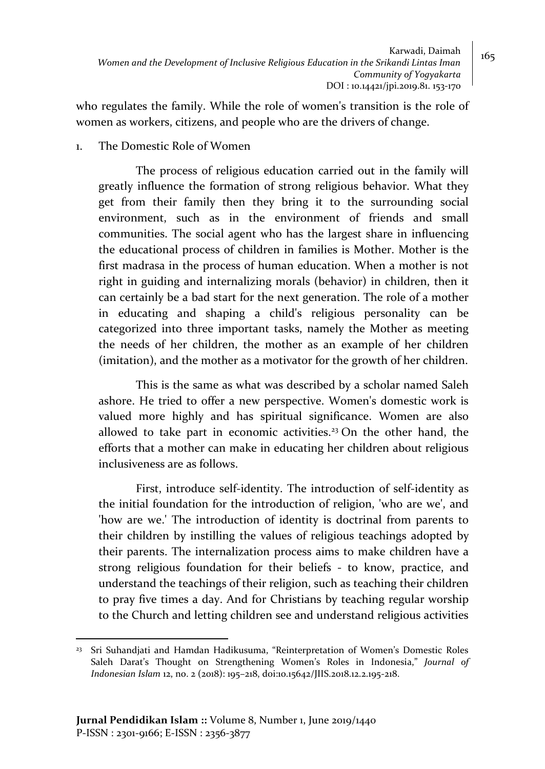who regulates the family. While the role of women's transition is the role of women as workers, citizens, and people who are the drivers of change.

1. The Domestic Role of Women

The process of religious education carried out in the family will greatly influence the formation of strong religious behavior. What they get from their family then they bring it to the surrounding social environment, such as in the environment of friends and small communities. The social agent who has the largest share in influencing the educational process of children in families is Mother. Mother is the first madrasa in the process of human education. When a mother is not right in guiding and internalizing morals (behavior) in children, then it can certainly be a bad start for the next generation. The role of a mother in educating and shaping a child's religious personality can be categorized into three important tasks, namely the Mother as meeting the needs of her children, the mother as an example of her children (imitation), and the mother as a motivator for the growth of her children.

This is the same as what was described by a scholar named Saleh ashore. He tried to offer a new perspective. Women's domestic work is valued more highly and has spiritual significance. Women are also allowed to take part in economic activities.<sup>23</sup> On the other hand, the efforts that a mother can make in educating her children about religious inclusiveness are as follows.

First, introduce self-identity. The introduction of self-identity as the initial foundation for the introduction of religion, 'who are we', and 'how are we.' The introduction of identity is doctrinal from parents to their children by instilling the values of religious teachings adopted by their parents. The internalization process aims to make children have a strong religious foundation for their beliefs - to know, practice, and understand the teachings of their religion, such as teaching their children to pray five times a day. And for Christians by teaching regular worship to the Church and letting children see and understand religious activities

 $\overline{a}$ <sup>23</sup> Sri Suhandjati and Hamdan Hadikusuma, "Reinterpretation of Women's Domestic Roles Saleh Darat's Thought on Strengthening Women's Roles in Indonesia," *Journal of Indonesian Islam* 12, no. 2 (2018): 195–218, doi:10.15642/JIIS.2018.12.2.195-218.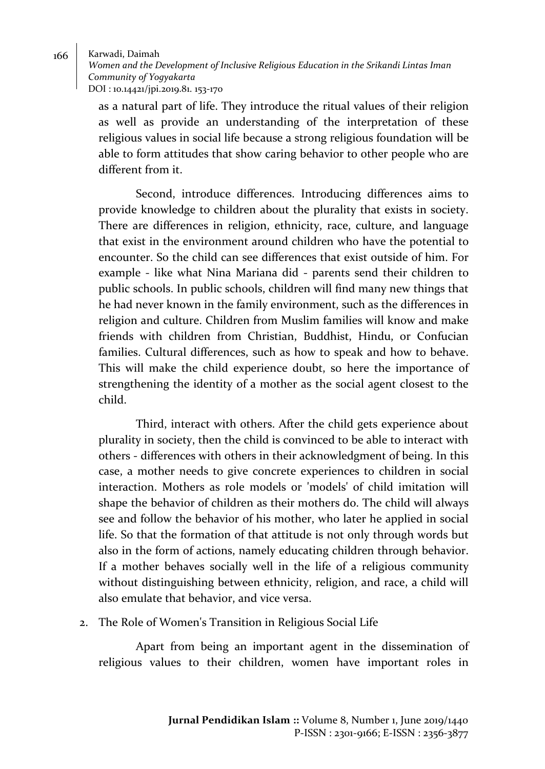*Women and the Development of Inclusive Religious Education in the Srikandi Lintas Iman Community of Yogyakarta* DOI : 10.14421/jpi.2019.81. 153-170

as a natural part of life. They introduce the ritual values of their religion as well as provide an understanding of the interpretation of these religious values in social life because a strong religious foundation will be able to form attitudes that show caring behavior to other people who are different from it.

Second, introduce differences. Introducing differences aims to provide knowledge to children about the plurality that exists in society. There are differences in religion, ethnicity, race, culture, and language that exist in the environment around children who have the potential to encounter. So the child can see differences that exist outside of him. For example - like what Nina Mariana did - parents send their children to public schools. In public schools, children will find many new things that he had never known in the family environment, such as the differences in religion and culture. Children from Muslim families will know and make friends with children from Christian, Buddhist, Hindu, or Confucian families. Cultural differences, such as how to speak and how to behave. This will make the child experience doubt, so here the importance of strengthening the identity of a mother as the social agent closest to the child.

Third, interact with others. After the child gets experience about plurality in society, then the child is convinced to be able to interact with others - differences with others in their acknowledgment of being. In this case, a mother needs to give concrete experiences to children in social interaction. Mothers as role models or 'models' of child imitation will shape the behavior of children as their mothers do. The child will always see and follow the behavior of his mother, who later he applied in social life. So that the formation of that attitude is not only through words but also in the form of actions, namely educating children through behavior. If a mother behaves socially well in the life of a religious community without distinguishing between ethnicity, religion, and race, a child will also emulate that behavior, and vice versa.

### 2. The Role of Women's Transition in Religious Social Life

Apart from being an important agent in the dissemination of religious values to their children, women have important roles in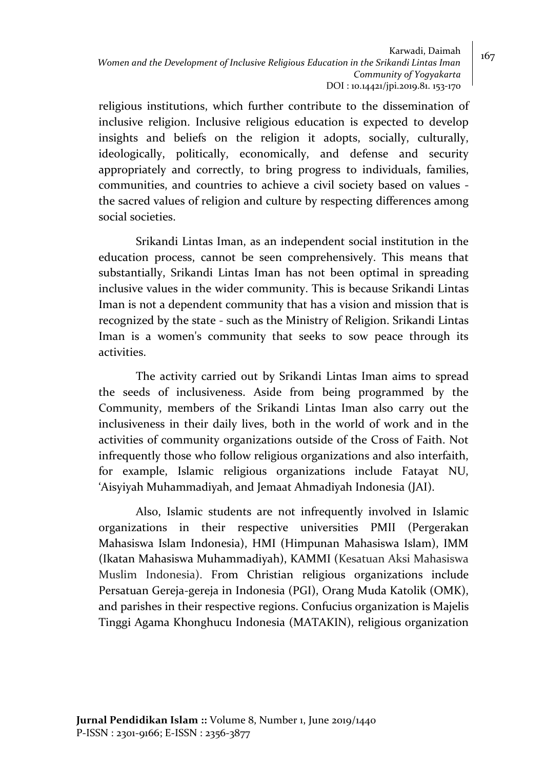Karwadi, Daimah  $\Big| 167$ *Women and the Development of Inclusive Religious Education in the Srikandi Lintas Iman Community of Yogyakarta* DOI : 10.14421/jpi.2019.81. 153-170

religious institutions, which further contribute to the dissemination of inclusive religion. Inclusive religious education is expected to develop insights and beliefs on the religion it adopts, socially, culturally, ideologically, politically, economically, and defense and security appropriately and correctly, to bring progress to individuals, families, communities, and countries to achieve a civil society based on values the sacred values of religion and culture by respecting differences among social societies.

Srikandi Lintas Iman, as an independent social institution in the education process, cannot be seen comprehensively. This means that substantially, Srikandi Lintas Iman has not been optimal in spreading inclusive values in the wider community. This is because Srikandi Lintas Iman is not a dependent community that has a vision and mission that is recognized by the state - such as the Ministry of Religion. Srikandi Lintas Iman is a women's community that seeks to sow peace through its activities.

The activity carried out by Srikandi Lintas Iman aims to spread the seeds of inclusiveness. Aside from being programmed by the Community, members of the Srikandi Lintas Iman also carry out the inclusiveness in their daily lives, both in the world of work and in the activities of community organizations outside of the Cross of Faith. Not infrequently those who follow religious organizations and also interfaith, for example, Islamic religious organizations include Fatayat NU, 'Aisyiyah Muhammadiyah, and Jemaat Ahmadiyah Indonesia (JAI).

Also, Islamic students are not infrequently involved in Islamic organizations in their respective universities PMII (Pergerakan Mahasiswa Islam Indonesia), HMI (Himpunan Mahasiswa Islam), IMM (Ikatan Mahasiswa Muhammadiyah), KAMMI (Kesatuan Aksi Mahasiswa Muslim Indonesia). From Christian religious organizations include Persatuan Gereja-gereja in Indonesia (PGI), Orang Muda Katolik (OMK), and parishes in their respective regions. Confucius organization is Majelis Tinggi Agama Khonghucu Indonesia (MATAKIN), religious organization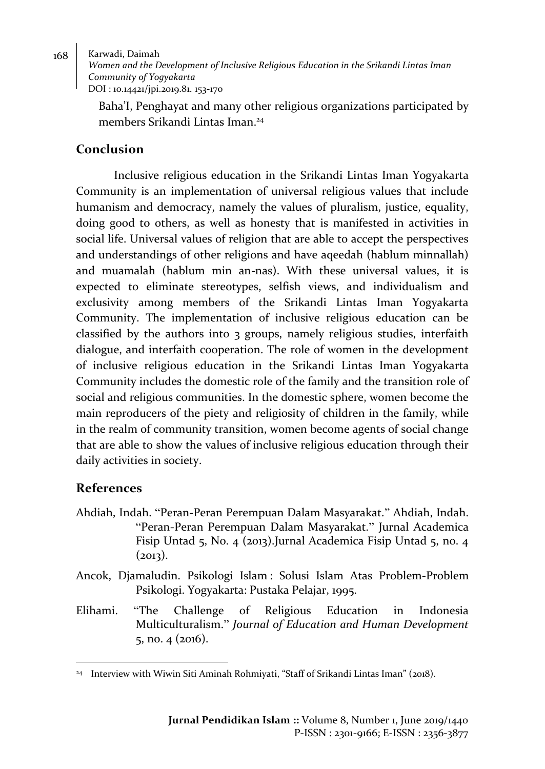*Women and the Development of Inclusive Religious Education in the Srikandi Lintas Iman Community of Yogyakarta* DOI : 10.14421/jpi.2019.81. 153-170

Baha'I, Penghayat and many other religious organizations participated by members Srikandi Lintas Iman. 24

# **Conclusion**

Inclusive religious education in the Srikandi Lintas Iman Yogyakarta Community is an implementation of universal religious values that include humanism and democracy, namely the values of pluralism, justice, equality, doing good to others, as well as honesty that is manifested in activities in social life. Universal values of religion that are able to accept the perspectives and understandings of other religions and have aqeedah (hablum minnallah) and muamalah (hablum min an-nas). With these universal values, it is expected to eliminate stereotypes, selfish views, and individualism and exclusivity among members of the Srikandi Lintas Iman Yogyakarta Community. The implementation of inclusive religious education can be classified by the authors into 3 groups, namely religious studies, interfaith dialogue, and interfaith cooperation. The role of women in the development of inclusive religious education in the Srikandi Lintas Iman Yogyakarta Community includes the domestic role of the family and the transition role of social and religious communities. In the domestic sphere, women become the main reproducers of the piety and religiosity of children in the family, while in the realm of community transition, women become agents of social change that are able to show the values of inclusive religious education through their daily activities in society.

# **References**

- Ahdiah, Indah. "Peran-Peran Perempuan Dalam Masyarakat." Ahdiah, Indah. "Peran-Peran Perempuan Dalam Masyarakat." Jurnal Academica Fisip Untad 5, No. 4 (2013).Jurnal Academica Fisip Untad 5, no. 4  $(2013).$
- Ancok, Djamaludin. Psikologi Islam : Solusi Islam Atas Problem-Problem Psikologi. Yogyakarta: Pustaka Pelajar, 1995.
- Elihami. "The Challenge of Religious Education in Indonesia Multiculturalism." *Journal of Education and Human Development* 5, no. 4 (2016).

 $\overline{a}$ <sup>24</sup> Interview with Wiwin Siti Aminah Rohmiyati, "Staff of Srikandi Lintas Iman" (2018).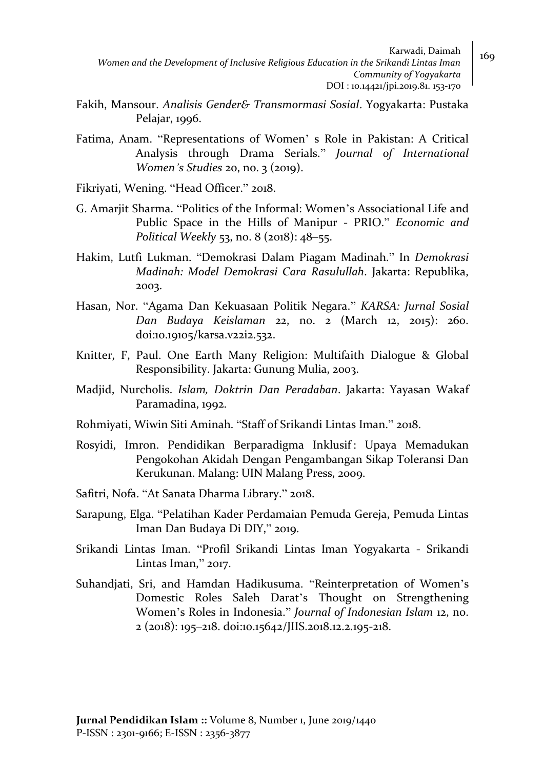Karwadi, Daimah  $\Big|$  169 *Women and the Development of Inclusive Religious Education in the Srikandi Lintas Iman Community of Yogyakarta* DOI : 10.14421/jpi.2019.81. 153-170

- Fakih, Mansour. *Analisis Gender& Transmormasi Sosial*. Yogyakarta: Pustaka Pelajar, 1996.
- Fatima, Anam. "Representations of Women' s Role in Pakistan: A Critical Analysis through Drama Serials." *Journal of International Women's Studies* 20, no. 3 (2019).
- Fikriyati, Wening. "Head Officer." 2018.
- G. Amarjit Sharma. "Politics of the Informal: Women's Associational Life and Public Space in the Hills of Manipur - PRIO." *Economic and Political Weekly* 53, no. 8 (2018): 48–55.
- Hakim, Lutfi Lukman. "Demokrasi Dalam Piagam Madinah." In *Demokrasi Madinah: Model Demokrasi Cara Rasulullah*. Jakarta: Republika, 2003.
- Hasan, Nor. "Agama Dan Kekuasaan Politik Negara." *KARSA: Jurnal Sosial Dan Budaya Keislaman* 22, no. 2 (March 12, 2015): 260. doi:10.19105/karsa.v22i2.532.
- Knitter, F, Paul. One Earth Many Religion: Multifaith Dialogue & Global Responsibility. Jakarta: Gunung Mulia, 2003.
- Madjid, Nurcholis. *Islam, Doktrin Dan Peradaban*. Jakarta: Yayasan Wakaf Paramadina, 1992.
- Rohmiyati, Wiwin Siti Aminah. "Staff of Srikandi Lintas Iman." 2018.
- Rosyidi, Imron. Pendidikan Berparadigma Inklusif : Upaya Memadukan Pengokohan Akidah Dengan Pengambangan Sikap Toleransi Dan Kerukunan. Malang: UIN Malang Press, 2009.

Safitri, Nofa. "At Sanata Dharma Library." 2018.

- Sarapung, Elga. "Pelatihan Kader Perdamaian Pemuda Gereja, Pemuda Lintas Iman Dan Budaya Di DIY," 2019.
- Srikandi Lintas Iman. "Profil Srikandi Lintas Iman Yogyakarta Srikandi Lintas Iman," 2017.
- Suhandjati, Sri, and Hamdan Hadikusuma. "Reinterpretation of Women's Domestic Roles Saleh Darat's Thought on Strengthening Women's Roles in Indonesia." *Journal of Indonesian Islam* 12, no. 2 (2018): 195–218. doi:10.15642/JIIS.2018.12.2.195-218.